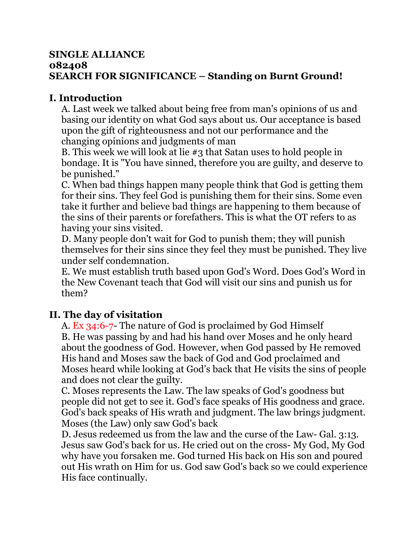#### **SINGLE ALLIANCE 082408 SEARCH FOR SIGNIFICANCE – Standing on Burnt Ground!**

## **I. Introduction**

A. Last week we talked about being free from man's opinions of us and basing our identity on what God says about us. Our acceptance is based upon the gift of righteousness and not our performance and the changing opinions and judgments of man

B. This week we will look at lie #3 that Satan uses to hold people in bondage. It is "You have sinned, therefore you are guilty, and deserve to be punished."

C. When bad things happen many people think that God is getting them for their sins. They feel God is punishing them for their sins. Some even take it further and believe bad things are happening to them because of the sins of their parents or forefathers. This is what the OT refers to as having your sins visited.

D. Many people don't wait for God to punish them; they will punish themselves for their sins since they feel they must be punished. They live under self condemnation.

E. We must establish truth based upon God's Word. Does God's Word in the New Covenant teach that God will visit our sins and punish us for them?

# **II. The day of visitation**

A. Ex 34:6-7- The nature of God is proclaimed by God Himself B. He was passing by and had his hand over Moses and he only heard about the goodness of God. However, when God passed by He removed His hand and Moses saw the back of God and God proclaimed and Moses heard while looking at God's back that He visits the sins of people and does not clear the guilty.

C. Moses represents the Law. The law speaks of God's goodness but people did not get to see it. God's face speaks of His goodness and grace. God's back speaks of His wrath and judgment. The law brings judgment. Moses (the Law) only saw God's back

D. Jesus redeemed us from the law and the curse of the Law- Gal. 3:13. Jesus saw God's back for us. He cried out on the cross- My God, My God why have you forsaken me. God turned His back on His son and poured out His wrath on Him for us. God saw God's back so we could experience His face continually.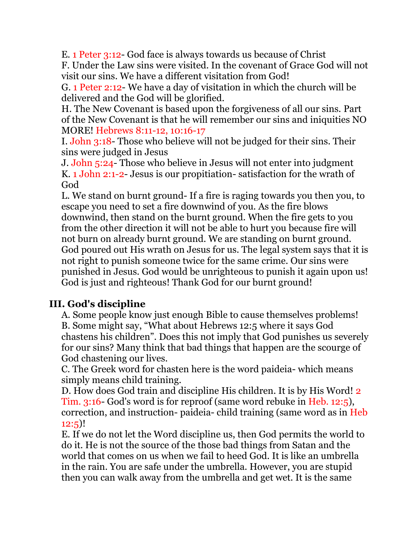E. 1 Peter 3:12- God face is always towards us because of Christ

F. Under the Law sins were visited. In the covenant of Grace God will not visit our sins. We have a different visitation from God!

G. 1 Peter 2:12- We have a day of visitation in which the church will be delivered and the God will be glorified.

H. The New Covenant is based upon the forgiveness of all our sins. Part of the New Covenant is that he will remember our sins and iniquities NO MORE! Hebrews 8:11-12, 10:16-17

I. John 3:18- Those who believe will not be judged for their sins. Their sins were judged in Jesus

J. John 5:24- Those who believe in Jesus will not enter into judgment K. 1 John 2:1-2- Jesus is our propitiation- satisfaction for the wrath of God

L. We stand on burnt ground- If a fire is raging towards you then you, to escape you need to set a fire downwind of you. As the fire blows downwind, then stand on the burnt ground. When the fire gets to you from the other direction it will not be able to hurt you because fire will not burn on already burnt ground. We are standing on burnt ground. God poured out His wrath on Jesus for us. The legal system says that it is not right to punish someone twice for the same crime. Our sins were punished in Jesus. God would be unrighteous to punish it again upon us! God is just and righteous! Thank God for our burnt ground!

### **III. God's discipline**

A. Some people know just enough Bible to cause themselves problems! B. Some might say, "What about Hebrews 12:5 where it says God chastens his children". Does this not imply that God punishes us severely for our sins? Many think that bad things that happen are the scourge of God chastening our lives.

C. The Greek word for chasten here is the word paideia- which means simply means child training.

D. How does God train and discipline His children. It is by His Word! 2 Tim. 3:16- God's word is for reproof (same word rebuke in Heb. 12:5), correction, and instruction- paideia- child training (same word as in Heb 12:5)!

E. If we do not let the Word discipline us, then God permits the world to do it. He is not the source of the those bad things from Satan and the world that comes on us when we fail to heed God. It is like an umbrella in the rain. You are safe under the umbrella. However, you are stupid then you can walk away from the umbrella and get wet. It is the same